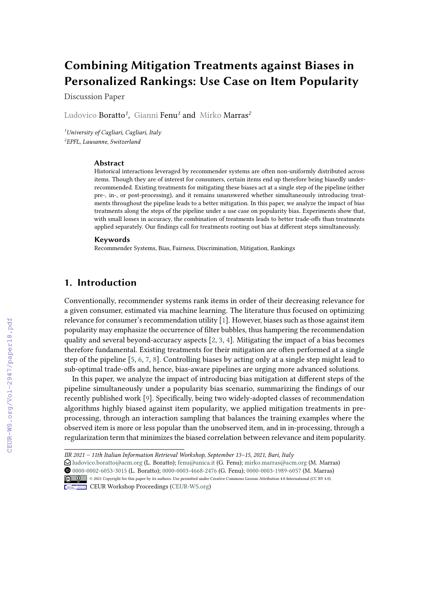# **Combining Mitigation Treatments against Biases in Personalized Rankings: Use Case on Item Popularity**

Discussion Paper

Ludovico Boratto*<sup>1</sup>* , Gianni Fenu*<sup>1</sup>* and Mirko Marras*<sup>2</sup>*

*<sup>1</sup>University of Cagliari, Cagliari, Italy 2 EPFL, Lausanne, Switzerland*

#### **Abstract**

Historical interactions leveraged by recommender systems are often non-uniformly distributed across items. Though they are of interest for consumers, certain items end up therefore being biasedly underrecommended. Existing treatments for mitigating these biases act at a single step of the pipeline (either pre-, in-, or post-processing), and it remains unanswered whether simultaneously introducing treatments throughout the pipeline leads to a better mitigation. In this paper, we analyze the impact of bias treatments along the steps of the pipeline under a use case on popularity bias. Experiments show that, with small losses in accuracy, the combination of treatments leads to better trade-offs than treatments applied separately. Our findings call for treatments rooting out bias at different steps simultaneously.

#### **Keywords**

Recommender Systems, Bias, Fairness, Discrimination, Mitigation, Rankings

### **1. Introduction**

Conventionally, recommender systems rank items in order of their decreasing relevance for a given consumer, estimated via machine learning. The literature thus focused on optimizing relevance for consumer's recommendation utility [\[1\]](#page--1-0). However, biases such as those against item popularity may emphasize the occurrence of filter bubbles, thus hampering the recommendation quality and several beyond-accuracy aspects  $[2, 3, 4]$  $[2, 3, 4]$  $[2, 3, 4]$  $[2, 3, 4]$  $[2, 3, 4]$ . Mitigating the impact of a bias becomes therefore fundamental. Existing treatments for their mitigation are often performed at a single step of the pipeline [\[5,](#page--1-4) [6,](#page--1-5) [7,](#page--1-6) [8\]](#page--1-7). Controlling biases by acting only at a single step might lead to sub-optimal trade-offs and, hence, bias-aware pipelines are urging more advanced solutions.

In this paper, we analyze the impact of introducing bias mitigation at different steps of the pipeline simultaneously under a popularity bias scenario, summarizing the findings of our recently published work [\[9\]](#page--1-8). Specifically, being two widely-adopted classes of recommendation algorithms highly biased against item popularity, we applied mitigation treatments in preprocessing, through an interaction sampling that balances the training examples where the observed item is more or less popular than the unobserved item, and in in-processing, through a regularization term that minimizes the biased correlation between relevance and item popularity.

 [0000-0002-6053-3015](https://orcid.org/0000-0002-6053-3015) (L. Boratto); [0000-0003-4668-2476](https://orcid.org/0000-0003-4668-2476) (G. Fenu); [0000-0003-1989-6057](https://orcid.org/0000-0003-1989-6057) (M. Marras) © 2021 Copyright for this paper by its authors. Use permitted under Creative Commons License Attribution 4.0 International (CC BY 4.0).



**CEUR Workshop [Proceedings](http://ceur-ws.org) [\(CEUR-WS.org\)](http://ceur-ws.org)** 

*IIR 2021 – 11th Italian Information Retrieval Workshop, September 13–15, 2021, Bari, Italy*

 $\Theta$  [ludovico.boratto@acm.org](mailto:ludovico.boratto@acm.org) (L. Boratto); [fenu@unica.it](mailto:fenu@unica.it) (G. Fenu); [mirko.marras@acm.org](mailto:mirko.marras@acm.org) (M. Marras)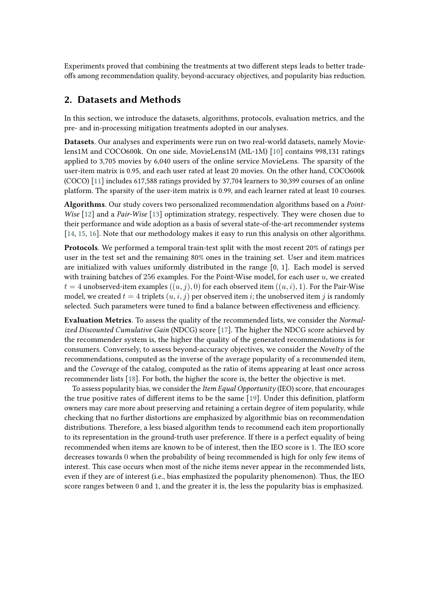Experiments proved that combining the treatments at two different steps leads to better tradeoffs among recommendation quality, beyond-accuracy objectives, and popularity bias reduction.

# **2. Datasets and Methods**

In this section, we introduce the datasets, algorithms, protocols, evaluation metrics, and the pre- and in-processing mitigation treatments adopted in our analyses.

**Datasets**. Our analyses and experiments were run on two real-world datasets, namely Movielens1M and COCO600k. On one side, MovieLens1M (ML-1M) [\[10\]](#page-4-0) contains 998,131 ratings applied to 3,705 movies by 6,040 users of the online service MovieLens. The sparsity of the user-item matrix is 0.95, and each user rated at least 20 movies. On the other hand, COCO600k (COCO) [\[11\]](#page-4-1) includes 617,588 ratings provided by 37,704 learners to 30,399 courses of an online platform. The sparsity of the user-item matrix is 0.99, and each learner rated at least 10 courses.

**Algorithms**. Our study covers two personalized recommendation algorithms based on a *Point-Wise* [\[12\]](#page-4-2) and a *Pair-Wise* [\[13\]](#page-4-3) optimization strategy, respectively. They were chosen due to their performance and wide adoption as a basis of several state-of-the-art recommender systems [\[14,](#page-5-0) [15,](#page-5-1) [16\]](#page-5-2). Note that our methodology makes it easy to run this analysis on other algorithms.

**Protocols**. We performed a temporal train-test split with the most recent 20% of ratings per user in the test set and the remaining 80% ones in the training set. User and item matrices are initialized with values uniformly distributed in the range [0, 1]. Each model is served with training batches of 256 examples. For the Point-Wise model, for each user  $u$ , we created  $t = 4$  unobserved-item examples  $((u, j), 0)$  for each observed item  $((u, i), 1)$ . For the Pair-Wise model, we created  $t = 4$  triplets  $(u, i, j)$  per observed item *i*; the unobserved item *i* is randomly selected. Such parameters were tuned to find a balance between effectiveness and efficiency.

**Evaluation Metrics**. To assess the quality of the recommended lists, we consider the *Normalized Discounted Cumulative Gain* (NDCG) score [\[17\]](#page-5-3). The higher the NDCG score achieved by the recommender system is, the higher the quality of the generated recommendations is for consumers. Conversely, to assess beyond-accuracy objectives, we consider the *Novelty* of the recommendations, computed as the inverse of the average popularity of a recommended item, and the *Coverage* of the catalog, computed as the ratio of items appearing at least once across recommender lists [\[18\]](#page-5-4). For both, the higher the score is, the better the objective is met.

To assess popularity bias, we consider the *Item Equal Opportunity* (IEO) score, that encourages the true positive rates of different items to be the same [\[19\]](#page-5-5). Under this definition, platform owners may care more about preserving and retaining a certain degree of item popularity, while checking that no further distortions are emphasized by algorithmic bias on recommendation distributions. Therefore, a less biased algorithm tends to recommend each item proportionally to its representation in the ground-truth user preference. If there is a perfect equality of being recommended when items are known to be of interest, then the IEO score is 1. The IEO score decreases towards 0 when the probability of being recommended is high for only few items of interest. This case occurs when most of the niche items never appear in the recommended lists, even if they are of interest (i.e., bias emphasized the popularity phenomenon). Thus, the IEO score ranges between 0 and 1, and the greater it is, the less the popularity bias is emphasized.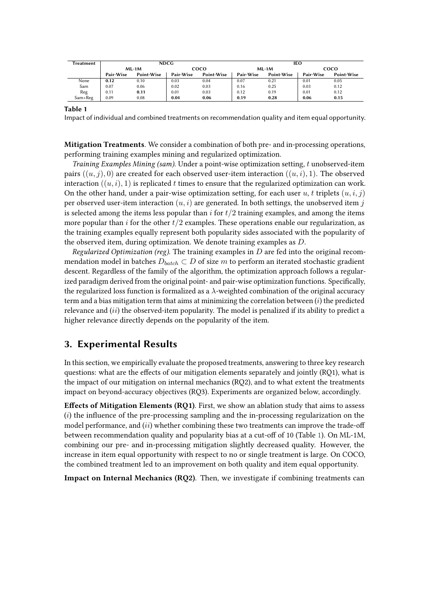| Treatment | <b>NDCG</b> |            |             |            | IEO       |            |           |            |
|-----------|-------------|------------|-------------|------------|-----------|------------|-----------|------------|
|           | $ML-1M$     |            | <b>COCO</b> |            | $ML-1M$   |            | coco      |            |
|           | Pair-Wise   | Point-Wise | Pair-Wise   | Point-Wise | Pair-Wise | Point-Wise | Pair-Wise | Point-Wise |
| None      | 0.12        | 0.10       | 0.03        | 0.04       | 0.07      | 0.21       | 0.01      | 0.05       |
| Sam       | 0.07        | 0.06       | 0.02        | 0.03       | 0.16      | 0.25       | 0.03      | 0.12       |
| Reg       | 0.11        | 0.11       | 0.01        | 0.03       | 0.12      | 0.19       | 0.01      | 0.12       |
| Sam+Reg   | 0.09        | 0.08       | 0.04        | 0.06       | 0.19      | 0.28       | 0.06      | 0.15       |

**Table 1**

<span id="page-2-0"></span>Impact of individual and combined treatments on recommendation quality and item equal opportunity.

**Mitigation Treatments**. We consider a combination of both pre- and in-processing operations, performing training examples mining and regularized optimization.

*Training Examples Mining (sam)*. Under a point-wise optimization setting, t unobserved-item pairs  $((u, j), 0)$  are created for each observed user-item interaction  $((u, i), 1)$ . The observed interaction  $((u, i), 1)$  is replicated t times to ensure that the regularized optimization can work. On the other hand, under a pair-wise optimization setting, for each user  $u, t$  triplets  $(u, i, j)$ per observed user-item interaction  $(u, i)$  are generated. In both settings, the unobserved item j is selected among the items less popular than *i* for  $t/2$  training examples, and among the items more popular than i for the other  $t/2$  examples. These operations enable our regularization, as the training examples equally represent both popularity sides associated with the popularity of the observed item, during optimization. We denote training examples as  $D$ .

*Regularized Optimization (reg).* The training examples in  $D$  are fed into the original recommendation model in batches  $D_{batch} \subset D$  of size m to perform an iterated stochastic gradient descent. Regardless of the family of the algorithm, the optimization approach follows a regularized paradigm derived from the original point- and pair-wise optimization functions. Specifically, the regularized loss function is formalized as a  $\lambda$ -weighted combination of the original accuracy term and a bias mitigation term that aims at minimizing the correlation between  $(i)$  the predicted relevance and  $(ii)$  the observed-item popularity. The model is penalized if its ability to predict a higher relevance directly depends on the popularity of the item.

### **3. Experimental Results**

In this section, we empirically evaluate the proposed treatments, answering to three key research questions: what are the effects of our mitigation elements separately and jointly (RQ1), what is the impact of our mitigation on internal mechanics (RQ2), and to what extent the treatments impact on beyond-accuracy objectives (RQ3). Experiments are organized below, accordingly.

**Effects of Mitigation Elements (RQ1)**. First, we show an ablation study that aims to assess  $(i)$  the influence of the pre-processing sampling and the in-processing regularization on the model performance, and  $(ii)$  whether combining these two treatments can improve the trade-off between recommendation quality and popularity bias at a cut-off of 10 (Table [1\)](#page-2-0). On ML-1M, combining our pre- and in-processing mitigation slightly decreased quality. However, the increase in item equal opportunity with respect to no or single treatment is large. On COCO, the combined treatment led to an improvement on both quality and item equal opportunity.

**Impact on Internal Mechanics (RQ2)**. Then, we investigate if combining treatments can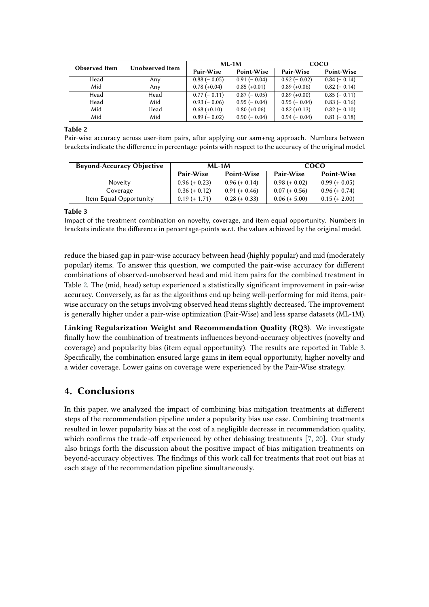| <b>Observed</b> Item | Unobserved Item |                | $ML-1M$        | <b>COCO</b>    |               |  |
|----------------------|-----------------|----------------|----------------|----------------|---------------|--|
|                      |                 | Pair-Wise      | Point-Wise     | Pair-Wise      | Point-Wise    |  |
| Head                 | Any             | $0.88(-0.05)$  | $0.91(-0.04)$  | $0.92(-0.02)$  | $0.84(-0.14)$ |  |
| Mid                  | Anv             | $0.78 (+0.04)$ | $0.85 (+0.01)$ | $0.89 (+0.06)$ | $0.82(-0.14)$ |  |
| Head                 | Head            | $0.77(-0.11)$  | $0.87(-0.05)$  | $0.89 (+0.00)$ | $0.85(-0.11)$ |  |
| Head                 | Mid             | $0.93(-0.06)$  | $0.95(-0.04)$  | $0.95(-0.04)$  | $0.83(-0.16)$ |  |
| Mid                  | Head            | $0.68 (+0.10)$ | $0.80 (+0.06)$ | $0.82 (+0.13)$ | $0.82(-0.10)$ |  |
| Mid                  | Mid             | $0.89(-0.02)$  | $0.90(-0.04)$  | $0.94(-0.04)$  | $0.81(-0.18)$ |  |

**Table 2**

<span id="page-3-0"></span>Pair-wise accuracy across user-item pairs, after applying our sam+reg approach. Numbers between brackets indicate the difference in percentage-points with respect to the accuracy of the original model.

| <b>Beyond-Accuracy Objective</b> |                 | $ML-1M$         | <b>COCO</b>     |                 |  |
|----------------------------------|-----------------|-----------------|-----------------|-----------------|--|
|                                  | Pair-Wise       | Point-Wise      | Pair-Wise       | Point-Wise      |  |
| Novelty                          | $0.96 (+ 0.23)$ | $0.96 (+ 0.14)$ | $0.98 (+ 0.02)$ | $0.99 (+ 0.05)$ |  |
| Coverage                         | $0.36 (+ 0.12)$ | $0.91 (+ 0.46)$ | $0.07 (+ 0.56)$ | $0.96 (+ 0.74)$ |  |
| Item Equal Opportunity           | $0.19 (+ 1.71)$ | $0.28 (+ 0.33)$ | $0.06 (+ 5.00)$ | $0.15 (+ 2.00)$ |  |

#### **Table 3**

<span id="page-3-1"></span>Impact of the treatment combination on novelty, coverage, and item equal opportunity. Numbers in brackets indicate the difference in percentage-points w.r.t. the values achieved by the original model.

reduce the biased gap in pair-wise accuracy between head (highly popular) and mid (moderately popular) items. To answer this question, we computed the pair-wise accuracy for different combinations of observed-unobserved head and mid item pairs for the combined treatment in Table [2.](#page-3-0) The (mid, head) setup experienced a statistically significant improvement in pair-wise accuracy. Conversely, as far as the algorithms end up being well-performing for mid items, pairwise accuracy on the setups involving observed head items slightly decreased. The improvement is generally higher under a pair-wise optimization (Pair-Wise) and less sparse datasets (ML-1M).

**Linking Regularization Weight and Recommendation Quality (RQ3)**. We investigate finally how the combination of treatments influences beyond-accuracy objectives (novelty and coverage) and popularity bias (item equal opportunity). The results are reported in Table [3.](#page-3-1) Specifically, the combination ensured large gains in item equal opportunity, higher novelty and a wider coverage. Lower gains on coverage were experienced by the Pair-Wise strategy.

## **4. Conclusions**

In this paper, we analyzed the impact of combining bias mitigation treatments at different steps of the recommendation pipeline under a popularity bias use case. Combining treatments resulted in lower popularity bias at the cost of a negligible decrease in recommendation quality, which confirms the trade-off experienced by other debiasing treatments [\[7,](#page-4-4) [20\]](#page-5-6). Our study also brings forth the discussion about the positive impact of bias mitigation treatments on beyond-accuracy objectives. The findings of this work call for treatments that root out bias at each stage of the recommendation pipeline simultaneously.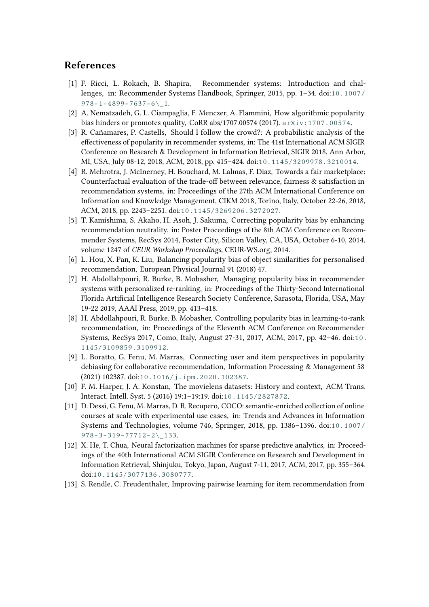### **References**

- [1] F. Ricci, L. Rokach, B. Shapira, Recommender systems: Introduction and challenges, in: Recommender Systems Handbook, Springer, 2015, pp. 1–34. doi:[10.1007/](http://dx.doi.org/10.1007/978-1-4899-7637-6_1)  $978 - 1 - 4899 - 7637 - 6$
- [2] A. Nematzadeh, G. L. Ciampaglia, F. Menczer, A. Flammini, How algorithmic popularity bias hinders or promotes quality, CoRR abs/1707.00574 (2017). [arXiv:1707.00574](http://arxiv.org/abs/1707.00574).
- [3] R. Cañamares, P. Castells, Should I follow the crowd?: A probabilistic analysis of the effectiveness of popularity in recommender systems, in: The 41st International ACM SIGIR Conference on Research & Development in Information Retrieval, SIGIR 2018, Ann Arbor, MI, USA, July 08-12, 2018, ACM, 2018, pp. 415–424. doi:[10.1145/3209978.3210014](http://dx.doi.org/10.1145/3209978.3210014).
- [4] R. Mehrotra, J. McInerney, H. Bouchard, M. Lalmas, F. Diaz, Towards a fair marketplace: Counterfactual evaluation of the trade-off between relevance, fairness & satisfaction in recommendation systems, in: Proceedings of the 27th ACM International Conference on Information and Knowledge Management, CIKM 2018, Torino, Italy, October 22-26, 2018, ACM, 2018, pp. 2243–2251. doi:[10.1145/3269206.3272027](http://dx.doi.org/10.1145/3269206.3272027).
- [5] T. Kamishima, S. Akaho, H. Asoh, J. Sakuma, Correcting popularity bias by enhancing recommendation neutrality, in: Poster Proceedings of the 8th ACM Conference on Recommender Systems, RecSys 2014, Foster City, Silicon Valley, CA, USA, October 6-10, 2014, volume 1247 of *CEUR Workshop Proceedings*, CEUR-WS.org, 2014.
- [6] L. Hou, X. Pan, K. Liu, Balancing popularity bias of object similarities for personalised recommendation, European Physical Journal 91 (2018) 47.
- <span id="page-4-4"></span>[7] H. Abdollahpouri, R. Burke, B. Mobasher, Managing popularity bias in recommender systems with personalized re-ranking, in: Proceedings of the Thirty-Second International Florida Artificial Intelligence Research Society Conference, Sarasota, Florida, USA, May 19-22 2019, AAAI Press, 2019, pp. 413–418.
- [8] H. Abdollahpouri, R. Burke, B. Mobasher, Controlling popularity bias in learning-to-rank recommendation, in: Proceedings of the Eleventh ACM Conference on Recommender Systems, RecSys 2017, Como, Italy, August 27-31, 2017, ACM, 2017, pp. 42–46. doi:[10.](http://dx.doi.org/10.1145/3109859.3109912) [1145/3109859.3109912](http://dx.doi.org/10.1145/3109859.3109912).
- [9] L. Boratto, G. Fenu, M. Marras, Connecting user and item perspectives in popularity debiasing for collaborative recommendation, Information Processing & Management 58 (2021) 102387. doi:[10.1016/j.ipm.2020.102387](http://dx.doi.org/10.1016/j.ipm.2020.102387).
- <span id="page-4-0"></span>[10] F. M. Harper, J. A. Konstan, The movielens datasets: History and context, ACM Trans. Interact. Intell. Syst. 5 (2016) 19:1–19:19. doi:[10.1145/2827872](http://dx.doi.org/10.1145/2827872).
- <span id="page-4-1"></span>[11] D. Dessì, G. Fenu, M. Marras, D. R. Recupero, COCO: semantic-enriched collection of online courses at scale with experimental use cases, in: Trends and Advances in Information Systems and Technologies, volume 746, Springer, 2018, pp. 1386–1396. doi:[10.1007/](http://dx.doi.org/10.1007/978-3-319-77712-2_133) [978-3-319-77712-2\\\_133](http://dx.doi.org/10.1007/978-3-319-77712-2_133).
- <span id="page-4-2"></span>[12] X. He, T. Chua, Neural factorization machines for sparse predictive analytics, in: Proceedings of the 40th International ACM SIGIR Conference on Research and Development in Information Retrieval, Shinjuku, Tokyo, Japan, August 7-11, 2017, ACM, 2017, pp. 355–364. doi:[10.1145/3077136.3080777](http://dx.doi.org/10.1145/3077136.3080777).
- <span id="page-4-3"></span>[13] S. Rendle, C. Freudenthaler, Improving pairwise learning for item recommendation from